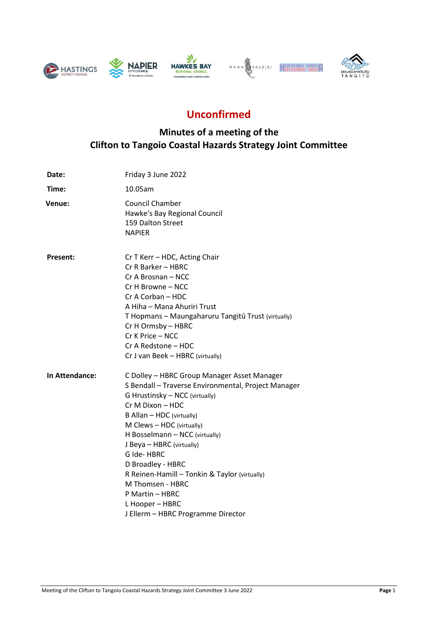





# **Unconfirmed**

## **Minutes of a meeting of the Clifton to Tangoio Coastal Hazards Strategy Joint Committee**

| Date:           | Friday 3 June 2022                                                                                                                                                                                                                                                                                                                                                                                                                                                    |
|-----------------|-----------------------------------------------------------------------------------------------------------------------------------------------------------------------------------------------------------------------------------------------------------------------------------------------------------------------------------------------------------------------------------------------------------------------------------------------------------------------|
| Time:           | 10.05am                                                                                                                                                                                                                                                                                                                                                                                                                                                               |
| Venue:          | <b>Council Chamber</b><br>Hawke's Bay Regional Council<br>159 Dalton Street<br><b>NAPIER</b>                                                                                                                                                                                                                                                                                                                                                                          |
| <b>Present:</b> | Cr T Kerr - HDC, Acting Chair<br>Cr R Barker - HBRC<br>Cr A Brosnan – NCC<br>Cr H Browne - NCC<br>Cr A Corban - HDC<br>A Hiha - Mana Ahuriri Trust<br>T Hopmans - Maungaharuru Tangitū Trust (virtually)<br>Cr H Ormsby - HBRC<br>Cr K Price - NCC<br>Cr A Redstone - HDC<br>Cr J van Beek - HBRC (virtually)                                                                                                                                                         |
| In Attendance:  | C Dolley - HBRC Group Manager Asset Manager<br>S Bendall - Traverse Environmental, Project Manager<br>G Hrustinsky - NCC (virtually)<br>Cr M Dixon - HDC<br>B Allan - HDC (virtually)<br>M Clews - HDC (virtually)<br>H Bosselmann - NCC (virtually)<br>J Beya - HBRC (virtually)<br>G Ide-HBRC<br>D Broadley - HBRC<br>R Reinen-Hamill - Tonkin & Taylor (virtually)<br>M Thomsen - HBRC<br>P Martin - HBRC<br>L Hooper - HBRC<br>J Ellerm - HBRC Programme Director |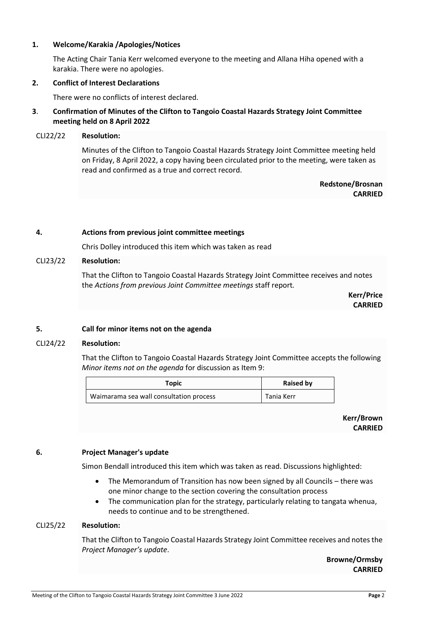## **1. Welcome/Karakia /Apologies/Notices**

The Acting Chair Tania Kerr welcomed everyone to the meeting and Allana Hiha opened with a karakia. There were no apologies.

## **2. Conflict of Interest Declarations**

There were no conflicts of interest declared.

## **3**. **Confirmation of Minutes of the Clifton to Tangoio Coastal Hazards Strategy Joint Committee meeting held on 8 April 2022**

#### CLI22/22 **Resolution:**

Minutes of the Clifton to Tangoio Coastal Hazards Strategy Joint Committee meeting held on Friday, 8 April 2022, a copy having been circulated prior to the meeting, were taken as read and confirmed as a true and correct record.

> **Redstone/Brosnan CARRIED**

#### **4. Actions from previous joint committee meetings**

Chris Dolley introduced this item which was taken as read

## CLI23/22 **Resolution:**

That the Clifton to Tangoio Coastal Hazards Strategy Joint Committee receives and notes the *Actions from previous Joint Committee meetings* staff report*.*

> **Kerr/Price CARRIED**

## **5. Call for minor items not on the agenda**

## CLI24/22 **Resolution:**

That the Clifton to Tangoio Coastal Hazards Strategy Joint Committee accepts the following *Minor items not on the agenda* for discussion as Item 9:

| Topic                                   | <b>Raised by</b> |
|-----------------------------------------|------------------|
| Waimarama sea wall consultation process | Tania Kerr       |

**Kerr/Brown CARRIED**

#### **6. Project Manager's update**

Simon Bendall introduced this item which was taken as read. Discussions highlighted:

- The Memorandum of Transition has now been signed by all Councils there was one minor change to the section covering the consultation process
- The communication plan for the strategy, particularly relating to tangata whenua, needs to continue and to be strengthened.

#### CLI25/22 **Resolution:**

That the Clifton to Tangoio Coastal Hazards Strategy Joint Committee receives and notes the *Project Manager's update*.

> **Browne/Ormsby CARRIED**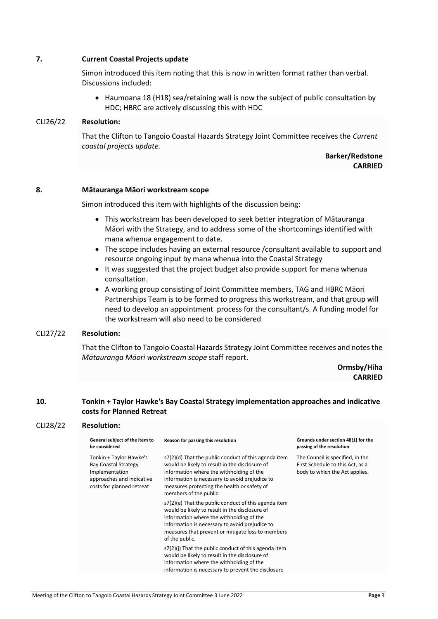## **7. Current Coastal Projects update**

Simon introduced this item noting that this is now in written format rather than verbal. Discussions included:

• Haumoana 18 (H18) sea/retaining wall is now the subject of public consultation by HDC; HBRC are actively discussing this with HDC

#### CLI26/22 **Resolution:**

That the Clifton to Tangoio Coastal Hazards Strategy Joint Committee receives the *Current coastal projects update.*

> **Barker/Redstone CARRIED**

#### **8. Mātauranga Māori workstream scope**

Simon introduced this item with highlights of the discussion being:

- This workstream has been developed to seek better integration of Mātauranga Māori with the Strategy, and to address some of the shortcomings identified with mana whenua engagement to date.
- The scope includes having an external resource /consultant available to support and resource ongoing input by mana whenua into the Coastal Strategy
- It was suggested that the project budget also provide support for mana whenua consultation.
- A working group consisting of Joint Committee members, TAG and HBRC Māori Partnerships Team is to be formed to progress this workstream, and that group will need to develop an appointment process for the consultant/s. A funding model for the workstream will also need to be considered

## CLI27/22 **Resolution:**

CLI28/22 **Resolution:**

That the Clifton to Tangoio Coastal Hazards Strategy Joint Committee receives and notes the *Mātauranga Māori workstream scope* staff report.

> **Ormsby/Hiha CARRIED**

## **10. Tonkin + Taylor Hawke's Bay Coastal Strategy implementation approaches and indicative costs for Planned Retreat**

| ULIZO/ZZ | ncsviuuvii.                                                                                                                        |                                                                                                                                                                                                                                                                               |                                                                                                        |  |  |
|----------|------------------------------------------------------------------------------------------------------------------------------------|-------------------------------------------------------------------------------------------------------------------------------------------------------------------------------------------------------------------------------------------------------------------------------|--------------------------------------------------------------------------------------------------------|--|--|
|          | General subject of the item to<br>be considered                                                                                    | Reason for passing this resolution                                                                                                                                                                                                                                            | Grounds under section 48(1) for the<br>passing of the resolution                                       |  |  |
|          | Tonkin + Taylor Hawke's<br><b>Bay Coastal Strategy</b><br>Implementation<br>approaches and indicative<br>costs for planned retreat | s7(2)(d) That the public conduct of this agenda item<br>would be likely to result in the disclosure of<br>information where the withholding of the<br>information is necessary to avoid prejudice to<br>measures protecting the health or safety of<br>members of the public. | The Council is specified, in the<br>First Schedule to this Act, as a<br>body to which the Act applies. |  |  |
|          |                                                                                                                                    | s7(2)(e) That the public conduct of this agenda item<br>would be likely to result in the disclosure of<br>information where the withholding of the<br>information is necessary to avoid prejudice to<br>measures that prevent or mitigate loss to members<br>of the public.   |                                                                                                        |  |  |
|          |                                                                                                                                    | s7(2)(i) That the public conduct of this agenda item<br>would be likely to result in the disclosure of<br>information where the withholding of the<br>information is necessary to prevent the disclosure                                                                      |                                                                                                        |  |  |